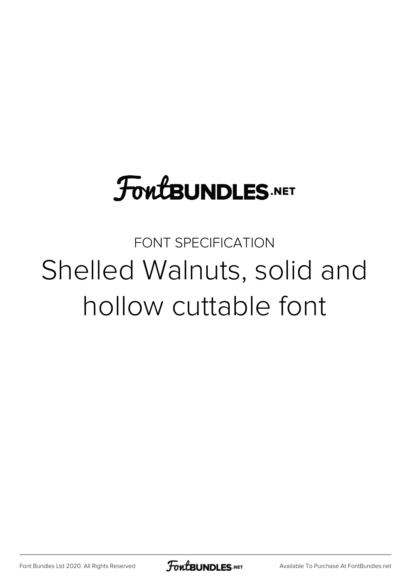# **FoutBUNDLES.NET**

FONT SPECIFICATION Shelled Walnuts, solid and hollow cuttable font

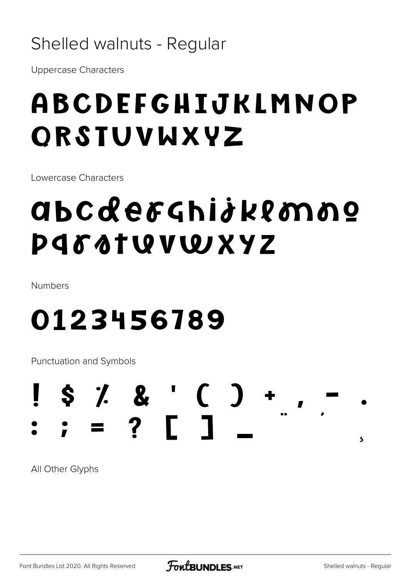### Shelled walnuts - Regular

**Uppercase Characters** 

# ABCDEFGHIJKLMNOP ORSTUVWXYZ

Lowercase Characters

# abcderghijklonno P 4 6 4 T W W W X Y Z

Numbers

# 0123456789

Punctuation and Symbols

### $$7.8'$  ( ) + ? [ 1  $\overline{\mathbf{5}}$

All Other Glyphs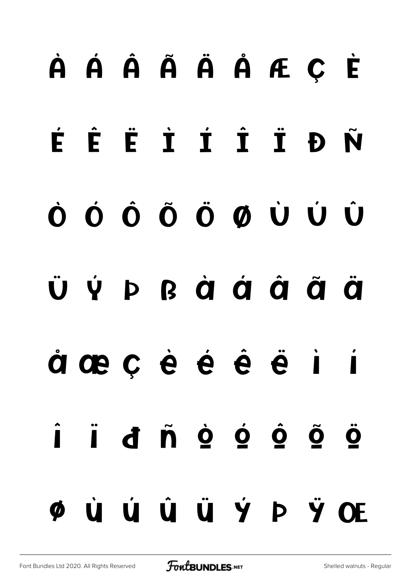# À Á Â Ã Ä Å Æ Ç È É Ê Ë Ì Í Î Ï Ð Ñ Ò Ó Ô Õ Ö Ø Ù Ú Û Ü Ý Þ ß à á â ã ä å æ ç è é ê ë ì í î ï ð ñ ò ó ô õ ö ø ù ú û ü ý þ ÿ Œ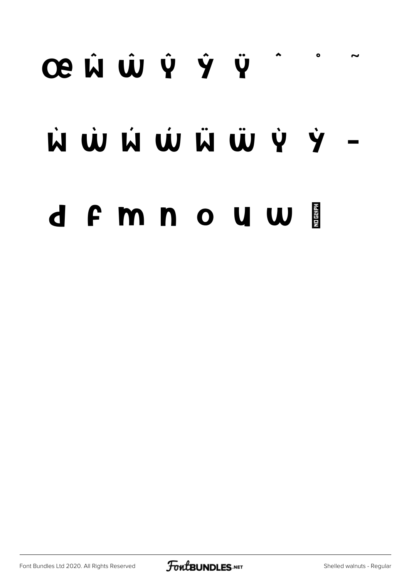# œ Ŵ Ŵ Ŷ Ÿ  $\bullet$ W W W W W Y Y d F m n o u w i

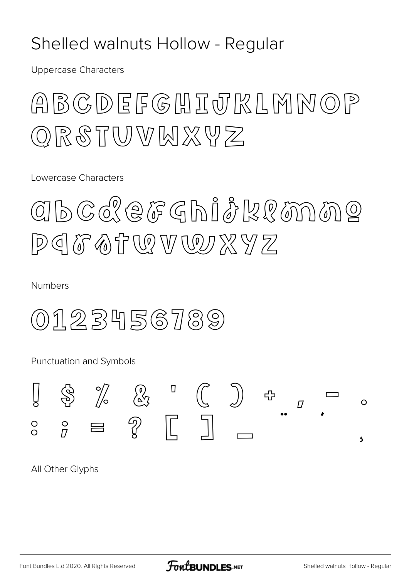#### Shelled walnuts Hollow - Regular

**Uppercase Characters** 

### ABCDEFGHIJTKLMNOP QRSTUVWXYZ

Lowercase Characters

# ahcderghiðklanne PIFATURVWXYZ

Numbers

0123456789

Punctuation and Symbols



All Other Glyphs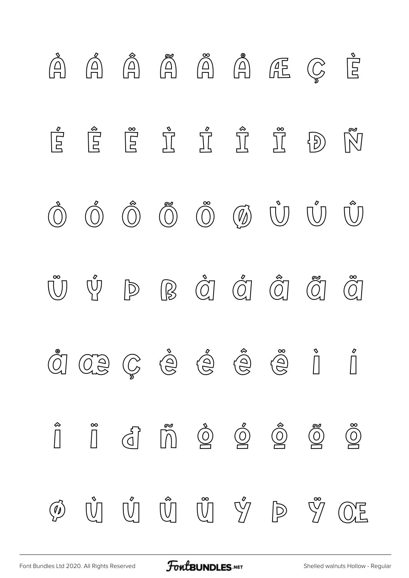